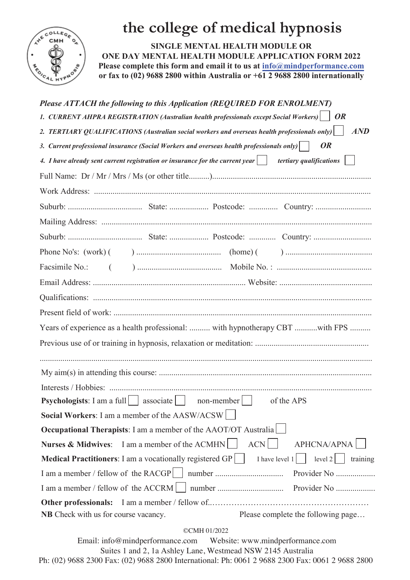

## **the college of medical hypnosis**

**SINGLE MENTAL HEALTH MODULE OR ONE DAY MENTAL HEALTH MODULE APPLICATION FORM 2022 Please complete this form and email it to us at info@mindperformance.com or fax to (02) 9688 2800 within Australia or +61 2 9688 2800 internationally** 

| Please ATTACH the following to this Application (REQUIRED FOR ENROLMENT)                                                  |            |                                                                               |
|---------------------------------------------------------------------------------------------------------------------------|------------|-------------------------------------------------------------------------------|
| 1. CURRENT AHPRA REGISTRATION (Australian health professionals except Social Workers)   OR                                |            |                                                                               |
| 2. TERTIARY QUALIFICATIONS (Australian social workers and overseas health professionals only)                             |            | AND                                                                           |
| 3. Current professional insurance (Social Workers and overseas health professionals only)                                 |            | <b>OR</b>                                                                     |
| 4. I have already sent current registration or insurance for the current year $\vert \quad \vert$ tertiary qualifications |            |                                                                               |
|                                                                                                                           |            |                                                                               |
|                                                                                                                           |            |                                                                               |
|                                                                                                                           |            |                                                                               |
|                                                                                                                           |            |                                                                               |
|                                                                                                                           |            |                                                                               |
|                                                                                                                           |            |                                                                               |
|                                                                                                                           |            |                                                                               |
|                                                                                                                           |            |                                                                               |
|                                                                                                                           |            |                                                                               |
|                                                                                                                           |            |                                                                               |
|                                                                                                                           |            | Years of experience as a health professional:  with hypnotherapy CBT with FPS |
|                                                                                                                           |            |                                                                               |
|                                                                                                                           |            |                                                                               |
|                                                                                                                           |            |                                                                               |
|                                                                                                                           |            |                                                                               |
| <b>Psychologists:</b> I am a full   associate     non-member                                                              |            | of the APS                                                                    |
| Social Workers: I am a member of the AASW/ACSW                                                                            |            |                                                                               |
| <b>Occupational Therapists:</b> I am a member of the AAOT/OT Australia                                                    |            |                                                                               |
| Nurses & Midwives: I am a member of the ACMHN                                                                             | <b>ACN</b> | <b>APHCNA/APNA</b>                                                            |
| Medical Practitioners: I am a vocationally registered GP                                                                  |            | I have level $1$  <br>level $2$<br>training                                   |
| I am a member / fellow of the RACGP                                                                                       |            | Provider No                                                                   |
| I am a member / fellow of the ACCRM                                                                                       |            |                                                                               |
|                                                                                                                           |            |                                                                               |
| NB Check with us for course vacancy.                                                                                      |            | Please complete the following page                                            |

## ©CMH 01/2022

Email: info@mindperformance.com Website: www.mindperformance.com Suites 1 and 2, 1a Ashley Lane, Westmead NSW 2145 Australia Ph: (02) 9688 2300 Fax: (02) 9688 2800 International: Ph: 0061 2 9688 2300 Fax: 0061 2 9688 2800